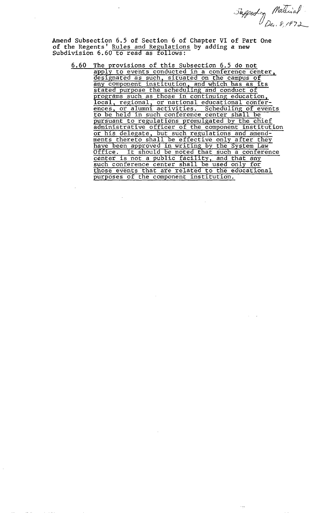Supporting Material

**Amend Subsection 6.5 of Section** 6 **of Chapter VI of Part One of the Regents' Rules and Regulations by adding a new Subdivision 6.60 to read as follows:** 

 $6.60$ The provisions of this Subsection 6.5 do not apply to events conducted in a conference center,<br>designated as such, situated on the campus of any component institution, and which has as its stated purpose the scheduling and conduct of programs such as those in continuing education,<br>local, regional, or national educational confer-<br>ences, or alumni activities. Scheduling of events<br>to be held in such conference center shall be. to be held in such conference center shall be<br>pursuant to regulations promulgated by the chief<br>administrative officer of the component institution<br>or his delegate, but such regulations and amend-<br>ments thereto shall be eff purposes of the component institution.